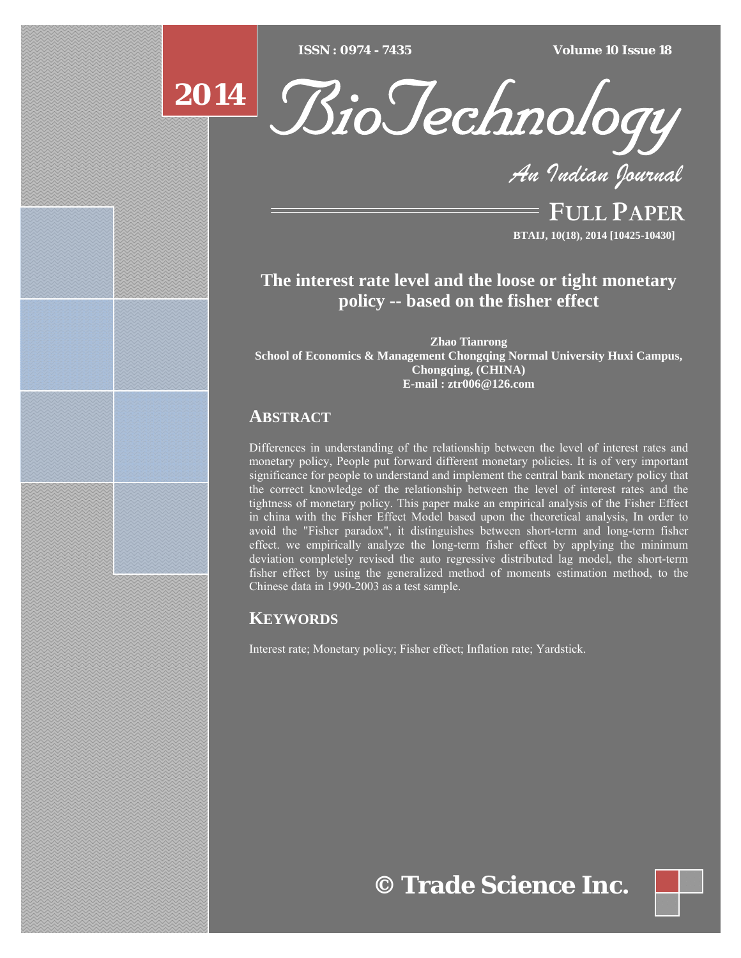$\overline{ISSN} : 0974 - 7435$ 

*ISSN : 0974 - 7435 Volume 10 Issue 18*

# **2014**



*An Indian Journal*

FULL PAPER **BTAIJ, 10(18), 2014 [10425-10430]**

# **The interest rate level and the loose or tight monetary policy -- based on the fisher effect**

**Zhao Tianrong School of Economics & Management Chongqing Normal University Huxi Campus, Chongqing, (CHINA) E-mail : ztr006@126.com**

## **ABSTRACT**

Differences in understanding of the relationship between the level of interest rates and monetary policy, People put forward different monetary policies. It is of very important significance for people to understand and implement the central bank monetary policy that the correct knowledge of the relationship between the level of interest rates and the tightness of monetary policy. This paper make an empirical analysis of the Fisher Effect in china with the Fisher Effect Model based upon the theoretical analysis, In order to avoid the "Fisher paradox", it distinguishes between short-term and long-term fisher effect. we empirically analyze the long-term fisher effect by applying the minimum deviation completely revised the auto regressive distributed lag model, the short-term fisher effect by using the generalized method of moments estimation method, to the Chinese data in 1990-2003 as a test sample.

# **KEYWORDS**

Interest rate; Monetary policy; Fisher effect; Inflation rate; Yardstick.

**© Trade Science Inc.**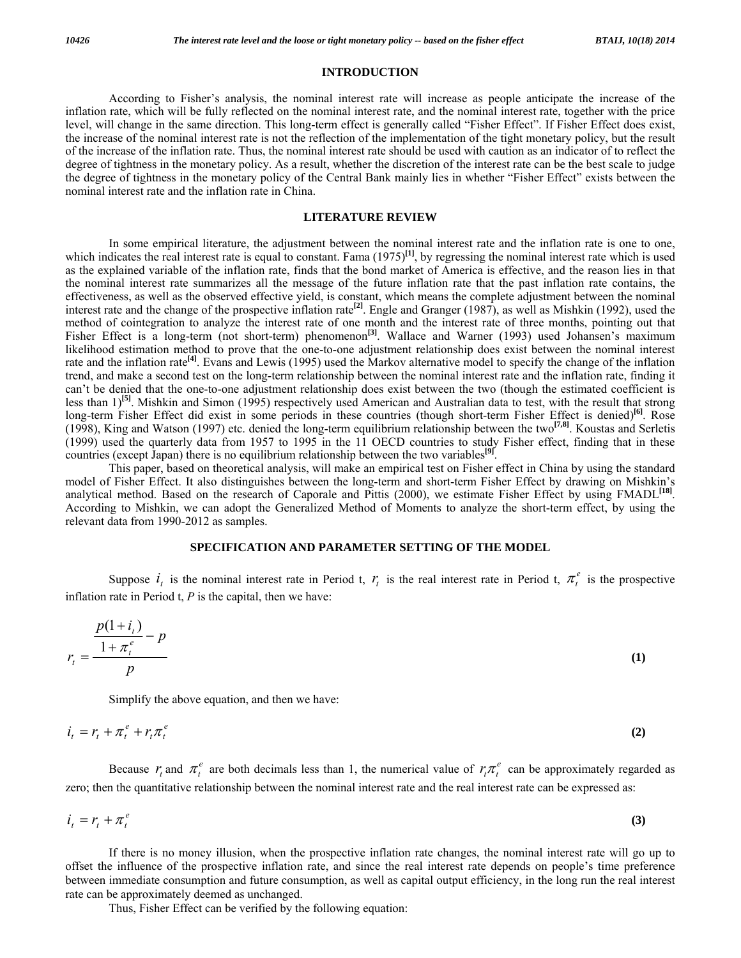### **INTRODUCTION**

 According to Fisher's analysis, the nominal interest rate will increase as people anticipate the increase of the inflation rate, which will be fully reflected on the nominal interest rate, and the nominal interest rate, together with the price level, will change in the same direction. This long-term effect is generally called "Fisher Effect". If Fisher Effect does exist, the increase of the nominal interest rate is not the reflection of the implementation of the tight monetary policy, but the result of the increase of the inflation rate. Thus, the nominal interest rate should be used with caution as an indicator of to reflect the degree of tightness in the monetary policy. As a result, whether the discretion of the interest rate can be the best scale to judge the degree of tightness in the monetary policy of the Central Bank mainly lies in whether "Fisher Effect" exists between the nominal interest rate and the inflation rate in China.

#### **LITERATURE REVIEW**

 In some empirical literature, the adjustment between the nominal interest rate and the inflation rate is one to one, which indicates the real interest rate is equal to constant. Fama (1975)<sup>[1]</sup>, by regressing the nominal interest rate which is used as the explained variable of the inflation rate, finds that the bond market of America is effective, and the reason lies in that the nominal interest rate summarizes all the message of the future inflation rate that the past inflation rate contains, the effectiveness, as well as the observed effective yield, is constant, which means the complete adjustment between the nominal interest rate and the change of the prospective inflation rate**[2]**. Engle and Granger (1987), as well as Mishkin (1992), used the method of cointegration to analyze the interest rate of one month and the interest rate of three months, pointing out that Fisher Effect is a long-term (not short-term) phenomenon<sup>[3]</sup>. Wallace and Warner (1993) used Johansen's maximum likelihood estimation method to prove that the one-to-one adjustment relationship does exist between the nominal interest rate and the inflation rate<sup>[4]</sup>. Evans and Lewis (1995) used the Markov alternative model to specify the change of the inflation trend, and make a second test on the long-term relationship between the nominal interest rate and the inflation rate, finding it can't be denied that the one-to-one adjustment relationship does exist between the two (though the estimated coefficient is less than 1)**[5]**. Mishkin and Simon (1995) respectively used American and Australian data to test, with the result that strong long-term Fisher Effect did exist in some periods in these countries (though short-term Fisher Effect is denied)**[6]**. Rose (1998), King and Watson (1997) etc. denied the long-term equilibrium relationship between the two**[7,8]**. Koustas and Serletis (1999) used the quarterly data from 1957 to 1995 in the 11 OECD countries to study Fisher effect, finding that in these countries (except Japan) there is no equilibrium relationship between the two variables**[9]**.

 This paper, based on theoretical analysis, will make an empirical test on Fisher effect in China by using the standard model of Fisher Effect. It also distinguishes between the long-term and short-term Fisher Effect by drawing on Mishkin's analytical method. Based on the research of Caporale and Pittis (2000), we estimate Fisher Effect by using FMADL**[18]**. According to Mishkin, we can adopt the Generalized Method of Moments to analyze the short-term effect, by using the relevant data from 1990-2012 as samples.

#### **SPECIFICATION AND PARAMETER SETTING OF THE MODEL**

Suppose  $i_t$  is the nominal interest rate in Period t,  $r_t$  is the real interest rate in Period t,  $\pi_t^e$  is the prospective inflation rate in Period t, *P* is the capital, then we have:

$$
r_{t} = \frac{\frac{p(1+i_{t})}{1+\pi_{t}^{e}} - p}{p}
$$
 (1)

Simplify the above equation, and then we have:

$$
i_t = r_t + \pi_t^e + r_t \pi_t^e \tag{2}
$$

Because  $r_t$  and  $\pi_t^e$  are both decimals less than 1, the numerical value of  $r_t \pi_t^e$  can be approximately regarded as zero; then the quantitative relationship between the nominal interest rate and the real interest rate can be expressed as:

$$
i_t = r_t + \pi_t^e \tag{3}
$$

 If there is no money illusion, when the prospective inflation rate changes, the nominal interest rate will go up to offset the influence of the prospective inflation rate, and since the real interest rate depends on people's time preference between immediate consumption and future consumption, as well as capital output efficiency, in the long run the real interest rate can be approximately deemed as unchanged.

Thus, Fisher Effect can be verified by the following equation: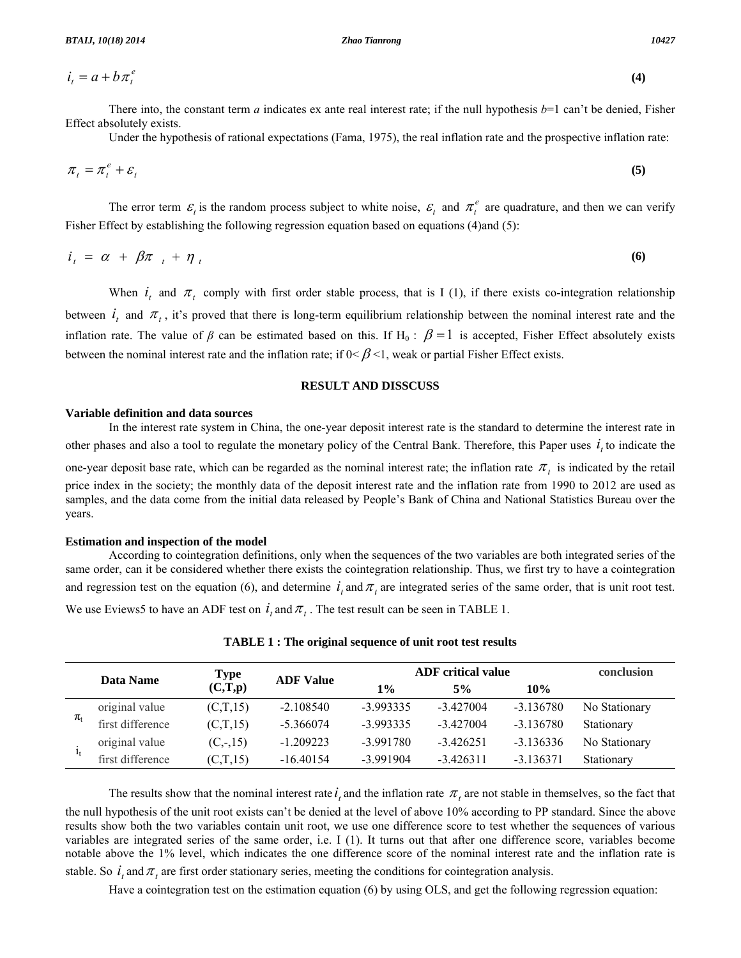$i_t = a + b \pi_t^e$ 

$$
i_t = a + b \pi_t^e \tag{4}
$$

There into, the constant term *a* indicates ex ante real interest rate; if the null hypothesis  $b=1$  can't be denied, Fisher Effect absolutely exists.

Under the hypothesis of rational expectations (Fama, 1975), the real inflation rate and the prospective inflation rate:

$$
\pi_t = \pi_t^e + \varepsilon_t \tag{5}
$$

The error term  $\varepsilon$  is the random process subject to white noise,  $\varepsilon$  and  $\pi$ <sup>e</sup> are quadrature, and then we can verify Fisher Effect by establishing the following regression equation based on equations (4)and (5):

$$
i_t = \alpha + \beta \pi_t + \eta_t \tag{6}
$$

When  $i_t$  and  $\pi_t$  comply with first order stable process, that is I (1), if there exists co-integration relationship between  $i_t$  and  $\pi_t$ , it's proved that there is long-term equilibrium relationship between the nominal interest rate and the inflation rate. The value of  $\beta$  can be estimated based on this. If H<sub>0</sub>:  $\beta = 1$  is accepted, Fisher Effect absolutely exists between the nominal interest rate and the inflation rate; if  $0 < \beta < 1$ , weak or partial Fisher Effect exists.

## **RESULT AND DISSCUSS**

#### **Variable definition and data sources**

 In the interest rate system in China, the one-year deposit interest rate is the standard to determine the interest rate in other phases and also a tool to regulate the monetary policy of the Central Bank. Therefore, this Paper uses  $i<sub>i</sub>$  to indicate the

one-year deposit base rate, which can be regarded as the nominal interest rate; the inflation rate  $\pi_t$  is indicated by the retail price index in the society; the monthly data of the deposit interest rate and the inflation rate from 1990 to 2012 are used as samples, and the data come from the initial data released by People's Bank of China and National Statistics Bureau over the years.

#### **Estimation and inspection of the model**

 According to cointegration definitions, only when the sequences of the two variables are both integrated series of the same order, can it be considered whether there exists the cointegration relationship. Thus, we first try to have a cointegration and regression test on the equation (6), and determine  $\dot{t}$ , and  $\pi$ , are integrated series of the same order, that is unit root test. We use Eviews5 to have an ADF test on  $i_t$  and  $\pi_t$ . The test result can be seen in TABLE 1.

|                                     | Data Name        | Type       |                  | <b>ADF</b> critical value |             |             | conclusion    |
|-------------------------------------|------------------|------------|------------------|---------------------------|-------------|-------------|---------------|
|                                     |                  | (C,T,p)    | <b>ADF Value</b> | 1%                        | 5%          | 10%         |               |
| $\pi_{\scriptscriptstyle \text{f}}$ | original value   | (C,T,15)   | $-2.108540$      | $-3.993335$               | $-3.427004$ | $-3.136780$ | No Stationary |
|                                     | first difference | (C,T,15)   | $-5.366074$      | $-3.993335$               | $-3.427004$ | $-3.136780$ | Stationary    |
| $I_{\rm t}$                         | original value   | $(C, -15)$ | $-1.209223$      | $-3.991780$               | $-3.426251$ | $-3.136336$ | No Stationary |
|                                     | first difference | (C,T,15)   | $-16.40154$      | $-3.991904$               | $-3.426311$ | $-3.136371$ | Stationary    |

The results show that the nominal interest rate  $t_i$  and the inflation rate  $\pi_i$  are not stable in themselves, so the fact that the null hypothesis of the unit root exists can't be denied at the level of above 10% according to PP standard. Since the above results show both the two variables contain unit root, we use one difference score to test whether the sequences of various variables are integrated series of the same order, i.e. I (1). It turns out that after one difference score, variables become notable above the 1% level, which indicates the one difference score of the nominal interest rate and the inflation rate is

stable. So  $i$ , and  $\pi$ , are first order stationary series, meeting the conditions for cointegration analysis.

Have a cointegration test on the estimation equation (6) by using OLS, and get the following regression equation: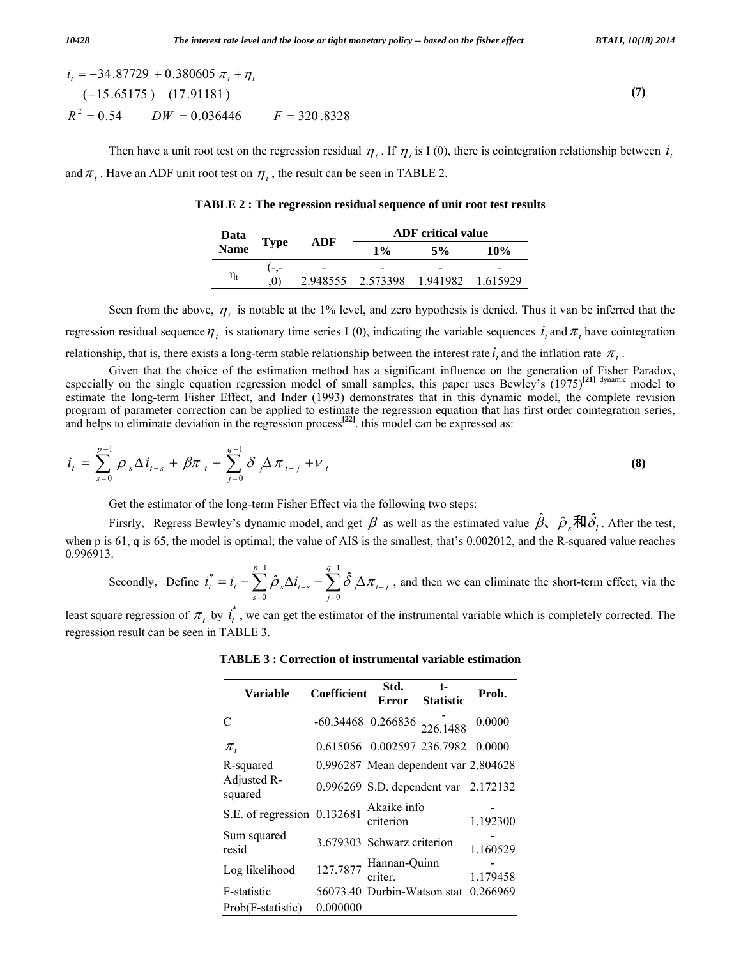$$
i_t = -34.87729 + 0.380605 \pi_t + \eta_t
$$
  
\n
$$
(-15.65175) (17.91181)
$$
  
\n
$$
R^2 = 0.54 \qquad DW = 0.036446 \qquad F = 320.8328
$$
 (7)

Then have a unit root test on the regression residual  $\eta_t$ . If  $\eta_t$  is I (0), there is cointegration relationship between  $i_t$ and  $\pi_t$ . Have an ADF unit root test on  $\eta_t$ , the result can be seen in TABLE 2.

**TABLE 2 : The regression residual sequence of unit root test results** 

| Data<br>Name   | <b>Type</b> | ADF | <b>ADF</b> critical value  |       |          |  |
|----------------|-------------|-----|----------------------------|-------|----------|--|
|                |             |     | $1\%$                      | $5\%$ | 10%      |  |
|                |             |     |                            |       |          |  |
| $\eta_{\rm t}$ | O)          |     | 2.948555 2.573398 1.941982 |       | 1.615929 |  |

Seen from the above,  $\eta_t$  is notable at the 1% level, and zero hypothesis is denied. Thus it van be inferred that the regression residual sequence  $\eta_t$  is stationary time series I (0), indicating the variable sequences  $i_t$  and  $\pi_t$  have cointegration relationship, that is, there exists a long-term stable relationship between the interest rate  $t_i$  and the inflation rate  $\pi_i$ .

 Given that the choice of the estimation method has a significant influence on the generation of Fisher Paradox, especially on the single equation regression model of small samples, this paper uses Bewley's (1975)**[21]** dynamic model to estimate the long-term Fisher Effect, and Inder (1993) demonstrates that in this dynamic model, the complete revision program of parameter correction can be applied to estimate the regression equation that has first order cointegration series, and helps to eliminate deviation in the regression process**[22]**. this model can be expressed as:

$$
i_{t} = \sum_{s=0}^{p-1} \rho_{s} \Delta i_{t-s} + \beta \pi_{t} + \sum_{j=0}^{q-1} \delta_{j} \Delta \pi_{t-j} + v_{t}
$$
\n(8)

Get the estimator of the long-term Fisher Effect via the following two steps:

Firsrly, Regress Bewley's dynamic model, and get  $\beta$  as well as the estimated value  $\hat{\beta}$ ,  $\hat{\rho}_s$ 和 $\hat{\delta}_l$ . After the test, when p is 61, q is 65, the model is optimal; the value of AIS is the smallest, that's 0.002012, and the R-squared value reaches 0.996913.

Secondly, Define 
$$
i_t^* = i_t - \sum_{s=0}^{p-1} \hat{\rho}_s \Delta i_{t-s} - \sum_{j=0}^{q-1} \hat{\delta}_j \Delta \pi_{t-j}
$$
, and then we can eliminate the short-term effect; via the

least square regression of  $\pi_t$  by  $i_t^*$ , we can get the estimator of the instrumental variable which is completely corrected. The regression result can be seen in TABLE 3.

| <b>Variable</b>             | Coefficient                   | Std.<br>Error                        | t-<br><b>Statistic</b> | Prob.    |
|-----------------------------|-------------------------------|--------------------------------------|------------------------|----------|
| $\mathcal{C}$               | $-60.34468$ 0.266836 226.1488 |                                      |                        | 0.0000   |
| $\pi$ ,                     |                               | 0.615056 0.002597 236.7982           |                        | 0.0000   |
| R-squared                   |                               | 0.996287 Mean dependent var 2.804628 |                        |          |
| Adjusted R-<br>squared      |                               | 0.996269 S.D. dependent var 2.172132 |                        |          |
| S.E. of regression 0.132681 |                               | Akaike info<br>criterion             |                        | 1.192300 |
| Sum squared<br>resid        |                               | 3.679303 Schwarz criterion           |                        | 1.160529 |
| Log likelihood              |                               | 127.7877 Hannan-Quinn<br>criter.     |                        | 1.179458 |
| F-statistic                 |                               | 56073.40 Durbin-Watson stat          |                        | 0.266969 |
| Prob(F-statistic)           | 0.000000                      |                                      |                        |          |

**TABLE 3 : Correction of instrumental variable estimation**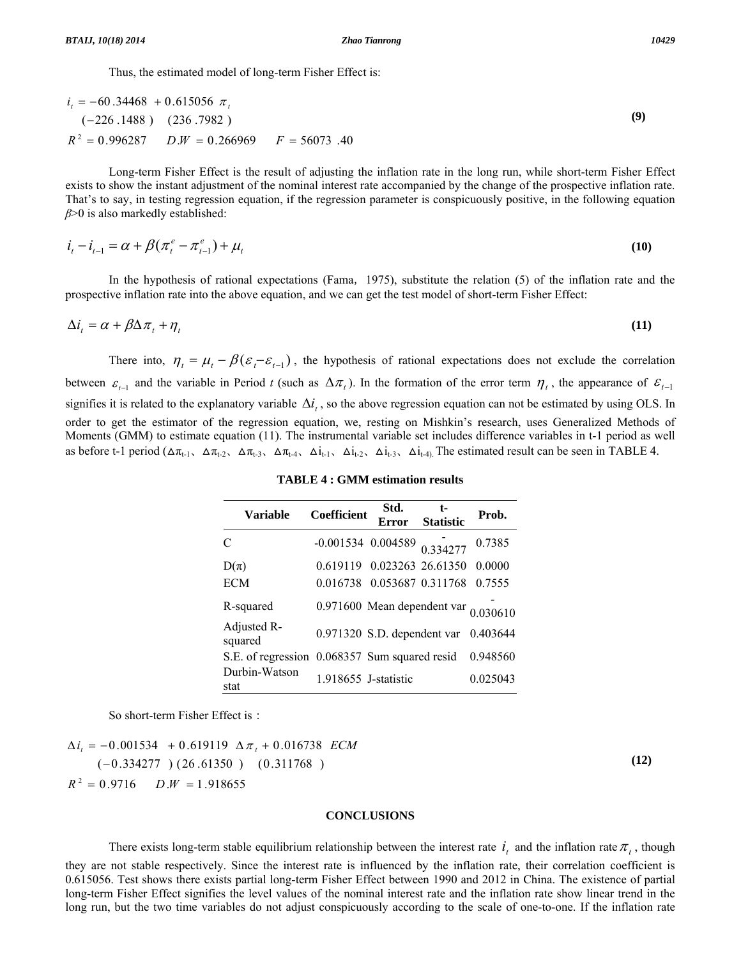Thus, the estimated model of long-term Fisher Effect is:

$$
it = -60.34468 + 0.615056 \pit
$$
  
(-226.1488) (236.7982)  

$$
R2 = 0.996287 \t\t D.W = 0.266969 \t\t F = 56073.40
$$

 Long-term Fisher Effect is the result of adjusting the inflation rate in the long run, while short-term Fisher Effect exists to show the instant adjustment of the nominal interest rate accompanied by the change of the prospective inflation rate. That's to say, in testing regression equation, if the regression parameter is conspicuously positive, in the following equation *β*>0 is also markedly established:

$$
i_{t} - i_{t-1} = \alpha + \beta(\pi_{t}^{e} - \pi_{t-1}^{e}) + \mu_{t}
$$
\n(10)

In the hypothesis of rational expectations (Fama, 1975), substitute the relation (5) of the inflation rate and the prospective inflation rate into the above equation, and we can get the test model of short-term Fisher Effect:

$$
\Delta i_t = \alpha + \beta \Delta \pi_t + \eta_t \tag{11}
$$

There into,  $\eta_t = \mu_t - \beta(\varepsilon_t - \varepsilon_{t-1})$ , the hypothesis of rational expectations does not exclude the correlation between  $\varepsilon_{t-1}$  and the variable in Period *t* (such as  $\Delta \pi_t$ ). In the formation of the error term  $\eta_t$ , the appearance of  $\varepsilon_{t-1}$ signifies it is related to the explanatory variable  $\Delta i_t$ , so the above regression equation can not be estimated by using OLS. In order to get the estimator of the regression equation, we, resting on Mishkin's research, uses Generalized Methods of Moments (GMM) to estimate equation (11). The instrumental variable set includes difference variables in t-1 period as well as before t-1 period  $(\Delta \pi_{t-1}, \Delta \pi_{t-2}, \Delta \pi_{t-3}, \Delta \pi_{t-4}, \Delta i_{t-1}, \Delta i_{t-2}, \Delta i_{t-3}, \Delta i_{t-4})$ . The estimated result can be seen in TABLE 4.

### **TABLE 4 : GMM estimation results**

| <b>Variable</b>                               | <b>Coefficient</b>            | Std.<br>Error                             | t-<br><b>Statistic</b> | Prob.    |
|-----------------------------------------------|-------------------------------|-------------------------------------------|------------------------|----------|
| C                                             | $-0.001534$ 0.004589 0.334277 |                                           |                        | 0.7385   |
| $D(\pi)$                                      |                               | 0.619119 0.023263 26.61350                |                        | 0.0000   |
| <b>ECM</b>                                    | 0.016738                      | 0.053687 0.311768                         |                        | 0.7555   |
| R-squared                                     |                               | 0.971600 Mean dependent var $_{0.030610}$ |                        |          |
| Adjusted R-<br>squared                        |                               | 0.971320 S.D. dependent var               |                        | 0.403644 |
| S.E. of regression 0.068357 Sum squared resid |                               |                                           |                        | 0.948560 |
| Durbin-Watson<br>stat                         | 1.918655 J-statistic          |                                           |                        | 0.025043 |

So short-term Fisher Effect is:

 $R^2 = 0.9716$  *D.W* = 1.918655  $(-0.334277) (26.61350) (0.311768)$  $\Delta i_t = -0.001534 + 0.619119 \Delta \pi_t + 0.016738 \text{ ECM}$ 

#### **CONCLUSIONS**

There exists long-term stable equilibrium relationship between the interest rate  $i_j$  and the inflation rate  $\pi_i$ , though they are not stable respectively. Since the interest rate is influenced by the inflation rate, their correlation coefficient is 0.615056. Test shows there exists partial long-term Fisher Effect between 1990 and 2012 in China. The existence of partial long-term Fisher Effect signifies the level values of the nominal interest rate and the inflation rate show linear trend in the long run, but the two time variables do not adjust conspicuously according to the scale of one-to-one. If the inflation rate

**(9)**

**(12)**